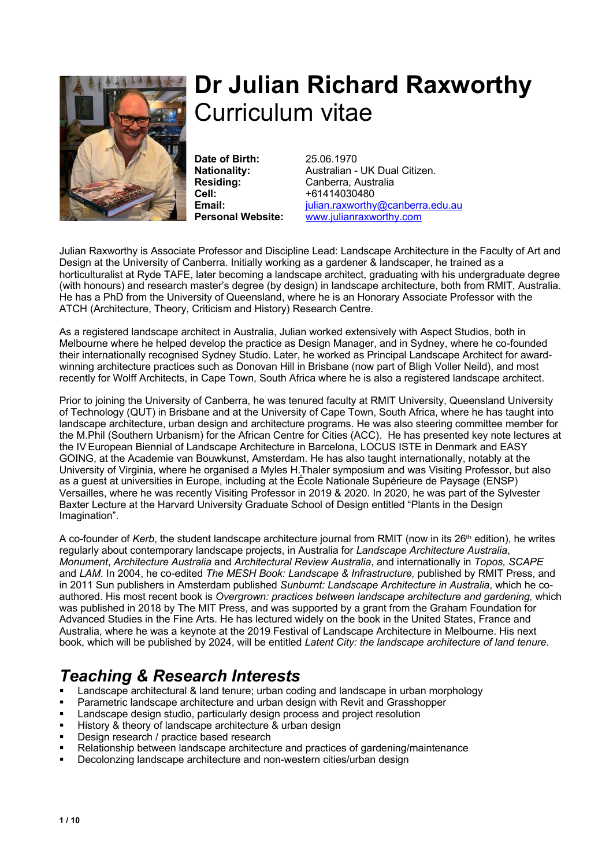

# **Dr Julian Richard Raxworthy** Curriculum vitae

**Date of Birth:** 25.06.1970 **Cell:** +61414030480

**Nationality:** Australian - UK Dual Citizen. **Residing:** Canberra, Australia **Email:** *julian.raxworthy@canberra.edu.au* **Personal Website:** www.julianraxworthy.com

Julian Raxworthy is Associate Professor and Discipline Lead: Landscape Architecture in the Faculty of Art and Design at the University of Canberra. Initially working as a gardener & landscaper, he trained as a horticulturalist at Ryde TAFE, later becoming a landscape architect, graduating with his undergraduate degree (with honours) and research master's degree (by design) in landscape architecture, both from RMIT, Australia. He has a PhD from the University of Queensland, where he is an Honorary Associate Professor with the ATCH (Architecture, Theory, Criticism and History) Research Centre.

As a registered landscape architect in Australia, Julian worked extensively with Aspect Studios, both in Melbourne where he helped develop the practice as Design Manager, and in Sydney, where he co-founded their internationally recognised Sydney Studio. Later, he worked as Principal Landscape Architect for awardwinning architecture practices such as Donovan Hill in Brisbane (now part of Bligh Voller Neild), and most recently for Wolff Architects, in Cape Town, South Africa where he is also a registered landscape architect.

Prior to joining the University of Canberra, he was tenured faculty at RMIT University, Queensland University of Technology (QUT) in Brisbane and at the University of Cape Town, South Africa, where he has taught into landscape architecture, urban design and architecture programs. He was also steering committee member for the M.Phil (Southern Urbanism) for the African Centre for Cities (ACC). He has presented key note lectures at the IV European Biennial of Landscape Architecture in Barcelona, LOCUS ISTE in Denmark and EASY GOING, at the Academie van Bouwkunst, Amsterdam. He has also taught internationally, notably at the University of Virginia, where he organised a Myles H.Thaler symposium and was Visiting Professor, but also as a guest at universities in Europe, including at the École Nationale Supérieure de Paysage (ENSP) Versailles, where he was recently Visiting Professor in 2019 & 2020. In 2020, he was part of the Sylvester Baxter Lecture at the Harvard University Graduate School of Design entitled "Plants in the Design Imagination".

A co-founder of *Kerb*, the student landscape architecture journal from RMIT (now in its 26<sup>th</sup> edition), he writes regularly about contemporary landscape projects, in Australia for *Landscape Architecture Australia*, *Monument*, *Architecture Australia* and *Architectural Review Australia*, and internationally in *Topos, SCAPE*  and *LAM*. In 2004, he co-edited *The MESH Book: Landscape & Infrastructure,* published by RMIT Press, and in 2011 Sun publishers in Amsterdam published *Sunburnt: Landscape Architecture in Australia*, which he coauthored. His most recent book is *Overgrown: practices between landscape architecture and gardening,* which was published in 2018 by The MIT Press, and was supported by a grant from the Graham Foundation for Advanced Studies in the Fine Arts. He has lectured widely on the book in the United States, France and Australia, where he was a keynote at the 2019 Festival of Landscape Architecture in Melbourne. His next book, which will be published by 2024, will be entitled *Latent City: the landscape architecture of land tenure*.

## *Teaching & Research Interests*

- Landscape architectural & land tenure; urban coding and landscape in urban morphology
- § Parametric landscape architecture and urban design with Revit and Grasshopper
- Landscape design studio, particularly design process and project resolution
- History & theory of landscape architecture & urban design
- Design research / practice based research
- Relationship between landscape architecture and practices of gardening/maintenance
- Decolonzing landscape architecture and non-western cities/urban design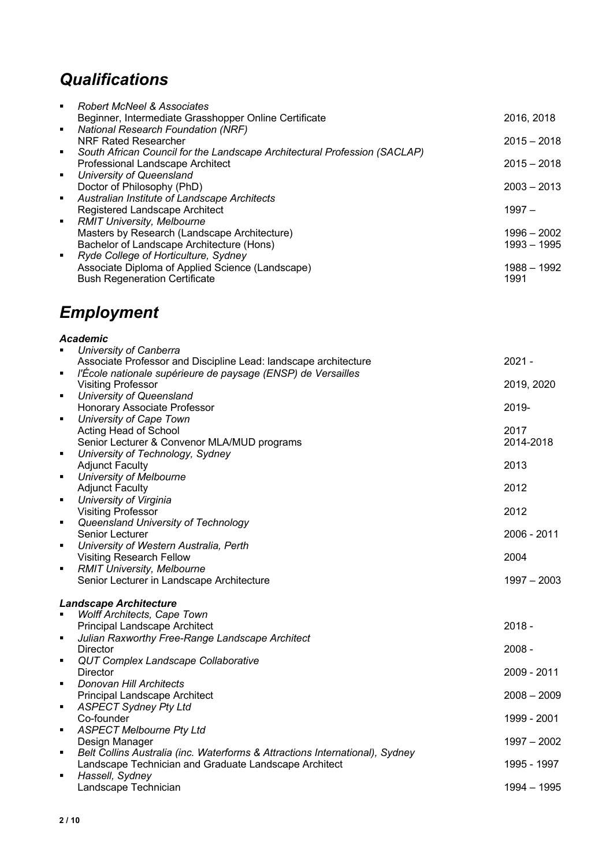## *Qualifications*

| ٠              | Robert McNeel & Associates                                                |               |
|----------------|---------------------------------------------------------------------------|---------------|
|                | Beginner, Intermediate Grasshopper Online Certificate                     | 2016, 2018    |
| ٠              | <b>National Research Foundation (NRF)</b>                                 |               |
|                | NRF Rated Researcher                                                      | $2015 - 2018$ |
| ٠              | South African Council for the Landscape Architectural Profession (SACLAP) |               |
|                | Professional Landscape Architect                                          | $2015 - 2018$ |
| $\blacksquare$ | University of Queensland                                                  |               |
|                | Doctor of Philosophy (PhD)                                                | $2003 - 2013$ |
| ٠              | Australian Institute of Landscape Architects                              |               |
|                | Registered Landscape Architect                                            | $1997 -$      |
| ٠              | <b>RMIT University, Melbourne</b>                                         |               |
|                | Masters by Research (Landscape Architecture)                              | $1996 - 2002$ |
|                | Bachelor of Landscape Architecture (Hons)                                 | 1993 – 1995   |
| ٠              | Ryde College of Horticulture, Sydney                                      |               |
|                | Associate Diploma of Applied Science (Landscape)                          | 1988 - 1992   |
|                | <b>Bush Regeneration Certificate</b>                                      | 1991          |

## *Employment*

## *Academic*

| $\blacksquare$                | University of Canberra                                                       |               |  |
|-------------------------------|------------------------------------------------------------------------------|---------------|--|
|                               | Associate Professor and Discipline Lead: landscape architecture              | $2021 -$      |  |
| ٠                             | l'École nationale supérieure de paysage (ENSP) de Versailles                 |               |  |
|                               | <b>Visiting Professor</b>                                                    | 2019, 2020    |  |
| $\blacksquare$                | University of Queensland                                                     |               |  |
|                               | Honorary Associate Professor                                                 | 2019-         |  |
| ٠                             | University of Cape Town                                                      |               |  |
|                               | Acting Head of School                                                        | 2017          |  |
|                               | Senior Lecturer & Convenor MLA/MUD programs                                  | 2014-2018     |  |
| ٠                             | University of Technology, Sydney                                             |               |  |
|                               | <b>Adjunct Faculty</b>                                                       | 2013          |  |
| $\blacksquare$                | University of Melbourne<br><b>Adjunct Faculty</b>                            | 2012          |  |
| $\blacksquare$                | University of Virginia                                                       |               |  |
|                               | <b>Visiting Professor</b>                                                    | 2012          |  |
| $\blacksquare$                | Queensland University of Technology                                          |               |  |
|                               | Senior Lecturer                                                              | 2006 - 2011   |  |
| ٠                             | University of Western Australia, Perth                                       |               |  |
|                               | <b>Visiting Research Fellow</b>                                              | 2004          |  |
| ٠                             | <b>RMIT University, Melbourne</b>                                            |               |  |
|                               | Senior Lecturer in Landscape Architecture                                    | $1997 - 2003$ |  |
| <b>Landscape Architecture</b> |                                                                              |               |  |
|                               | Wolff Architects, Cape Town                                                  |               |  |
|                               | Principal Landscape Architect                                                | $2018 -$      |  |
| $\blacksquare$                | Julian Raxworthy Free-Range Landscape Architect                              |               |  |
|                               | <b>Director</b>                                                              | $2008 -$      |  |
| ٠                             | QUT Complex Landscape Collaborative                                          |               |  |
|                               | <b>Director</b>                                                              | 2009 - 2011   |  |
| ٠                             | Donovan Hill Architects                                                      |               |  |
|                               | Principal Landscape Architect                                                | $2008 - 2009$ |  |
| ٠                             | <b>ASPECT Sydney Pty Ltd</b>                                                 |               |  |
| ٠                             | Co-founder                                                                   | 1999 - 2001   |  |
|                               | <b>ASPECT Melbourne Pty Ltd</b><br>Design Manager                            | $1997 - 2002$ |  |
| ٠                             | Belt Collins Australia (inc. Waterforms & Attractions International), Sydney |               |  |
|                               | Landscape Technician and Graduate Landscape Architect                        | 1995 - 1997   |  |
| $\blacksquare$                | Hassell, Sydney                                                              |               |  |
|                               | Landscape Technician                                                         | $1994 - 1995$ |  |
|                               |                                                                              |               |  |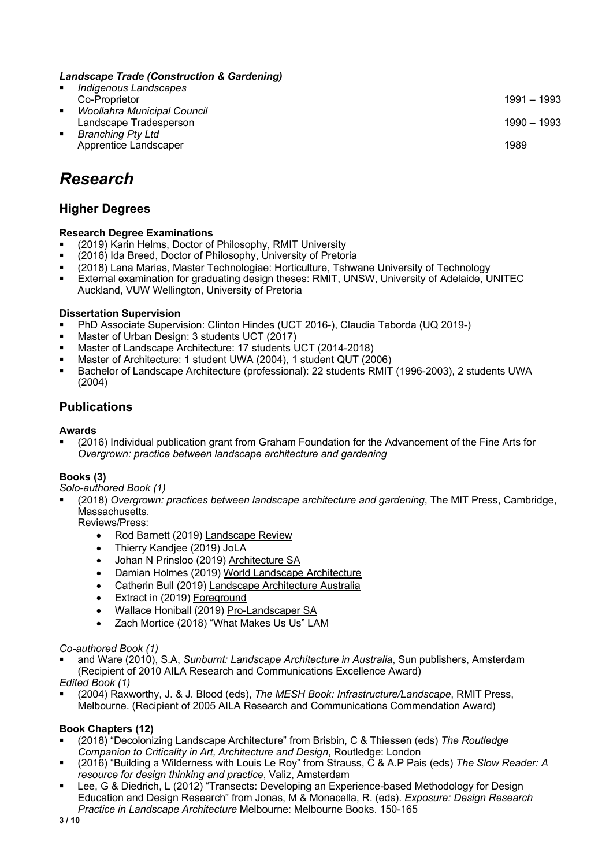#### *Landscape Trade (Construction & Gardening)*

§ *Indigenous Landscapes* Co-Proprietor 1991 – 1993 § *Woollahra Municipal Council* Landscape Tradesperson 1990 – 1993 § *Branching Pty Ltd* Apprentice Landscaper 1989

## *Research*

### **Higher Degrees**

#### **Research Degree Examinations**

- (2019) Karin Helms, Doctor of Philosophy, RMIT University<br>■ (2016) Ida Breed, Doctor of Philosophy, University of Pretor
- § (2016) Ida Breed, Doctor of Philosophy, University of Pretoria
- (2018) Lana Marias, Master Technologiae: Horticulture, Tshwane University of Technology
- External examination for graduating design theses: RMIT, UNSW, University of Adelaide, UNITEC Auckland, VUW Wellington, University of Pretoria

#### **Dissertation Supervision**

- PhD Associate Supervision: Clinton Hindes (UCT 2016-), Claudia Taborda (UQ 2019-)
- Master of Urban Design: 3 students UCT (2017)
- Master of Landscape Architecture: 17 students UCT (2014-2018)
- § Master of Architecture: 1 student UWA (2004), 1 student QUT (2006)
- Bachelor of Landscape Architecture (professional): 22 students RMIT (1996-2003), 2 students UWA (2004)

### **Publications**

#### **Awards**

§ (2016) Individual publication grant from Graham Foundation for the Advancement of the Fine Arts for *Overgrown: practice between landscape architecture and gardening*

#### **Books (3)**

*Solo-authored Book (1)*

§ (2018) *Overgrown: practices between landscape architecture and gardening*, The MIT Press, Cambridge, Massachusetts.

Reviews/Press:

- Rod Barnett (2019) Landscape Review
- Thierry Kandjee (2019) JoLA
- Johan N Prinsloo (2019) Architecture SA
- Damian Holmes (2019) World Landscape Architecture
- Catherin Bull (2019) Landscape Architecture Australia
- Extract in (2019) Foreground
- Wallace Honiball (2019) Pro-Landscaper SA
- Zach Mortice (2018) "What Makes Us Us" LAM

#### *Co-authored Book (1)*

§ and Ware (2010), S.A, *Sunburnt: Landscape Architecture in Australia*, Sun publishers, Amsterdam (Recipient of 2010 AILA Research and Communications Excellence Award)

*Edited Book (1)*

§ (2004) Raxworthy, J. & J. Blood (eds), *The MESH Book: Infrastructure/Landscape*, RMIT Press, Melbourne. (Recipient of 2005 AILA Research and Communications Commendation Award)

#### **Book Chapters (12)**

- § (2018) "Decolonizing Landscape Architecture" from Brisbin, C & Thiessen (eds) *The Routledge Companion to Criticality in Art, Architecture and Design*, Routledge: London
- § (2016) "Building a Wilderness with Louis Le Roy" from Strauss, C & A.P Pais (eds) *The Slow Reader: A resource for design thinking and practice*, Valiz, Amsterdam
- Lee, G & Diedrich, L (2012) "Transects: Developing an Experience-based Methodology for Design Education and Design Research" from Jonas, M & Monacella, R. (eds). *Exposure: Design Research Practice in Landscape Architecture* Melbourne: Melbourne Books. 150-165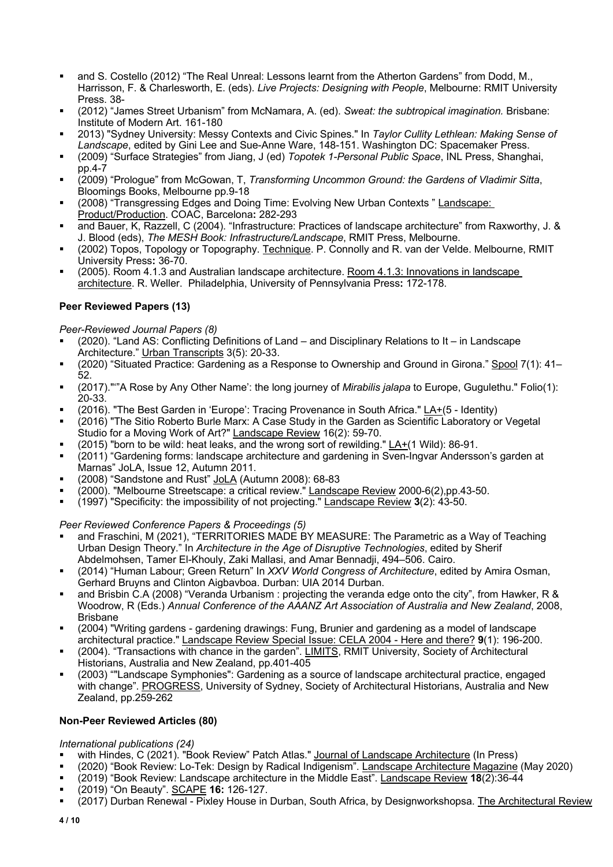- <sup>■</sup> and S. Costello (2012) "The Real Unreal: Lessons learnt from the Atherton Gardens" from Dodd, M., Harrisson, F. & Charlesworth, E. (eds). *Live Projects: Designing with People*, Melbourne: RMIT University Press. 38-
- § (2012) "James Street Urbanism" from McNamara, A. (ed). *Sweat: the subtropical imagination.* Brisbane: Institute of Modern Art. 161-180
- § 2013) "Sydney University: Messy Contexts and Civic Spines." In *Taylor Cullity Lethlean: Making Sense of Landscape*, edited by Gini Lee and Sue-Anne Ware, 148-151. Washington DC: Spacemaker Press.
- § (2009) "Surface Strategies" from Jiang, J (ed) *Topotek 1-Personal Public Space*, INL Press, Shanghai, pp.4-7
- § (2009) "Prologue" from McGowan, T, *Transforming Uncommon Ground: the Gardens of Vladimir Sitta*, Bloomings Books, Melbourne pp.9-18
- <sup>■</sup> (2008) "Transgressing Edges and Doing Time: Evolving New Urban Contexts " Landscape: Product/Production. COAC, Barcelona**:** 282-293
- and Bauer, K, Razzell, C (2004). "Infrastructure: Practices of landscape architecture" from Raxworthy, J. & J. Blood (eds), *The MESH Book: Infrastructure/Landscape*, RMIT Press, Melbourne.
- § (2002) Topos, Topology or Topography. Technique. P. Connolly and R. van der Velde. Melbourne, RMIT University Press**:** 36-70.
- § (2005). Room 4.1.3 and Australian landscape architecture. Room 4.1.3: Innovations in landscape architecture. R. Weller. Philadelphia, University of Pennsylvania Press**:** 172-178.

### **Peer Reviewed Papers (13)**

#### *Peer-Reviewed Journal Papers (8)*

- § (2020). "Land AS: Conflicting Definitions of Land and Disciplinary Relations to It in Landscape Architecture." Urban Transcripts 3(5): 20-33.
- § (2020) "Situated Practice: Gardening as a Response to Ownership and Ground in Girona." Spool 7(1): 41– 52.
- § (2017)."'"A Rose by Any Other Name': the long journey of *Mirabilis jalapa* to Europe, Gugulethu." Folio(1): 20-33.
- § (2016). "The Best Garden in 'Europe': Tracing Provenance in South Africa." LA+(5 Identity)
- § (2016) "The Sitio Roberto Burle Marx: A Case Study in the Garden as Scientific Laboratory or Vegetal Studio for a Moving Work of Art?" Landscape Review 16(2): 59-70.
- **•** (2015) "born to be wild: heat leaks, and the wrong sort of rewilding."  $\underline{LA+(1 \text{ Wild})}$ : 86-91.
- § (2011) "Gardening forms: landscape architecture and gardening in Sven-Ingvar Andersson's garden at Marnas" JoLA, Issue 12, Autumn 2011.
- § (2008) "Sandstone and Rust" JoLA (Autumn 2008): 68-83
- $\overline{a}$  (2000). "Melbourne Streetscape: a critical review." Landscape Review 2000-6(2),pp.43-50.
- § (1997) "Specificity: the impossibility of not projecting." Landscape Review **3**(2): 43-50.

*Peer Reviewed Conference Papers & Proceedings (5)*

- and Fraschini, M (2021), "TERRITORIES MADE BY MEASURE: The Parametric as a Way of Teaching Urban Design Theory." In *Architecture in the Age of Disruptive Technologies*, edited by Sherif Abdelmohsen, Tamer El-Khouly, Zaki Mallasi, and Amar Bennadji, 494–506. Cairo.
- § (2014) "Human Labour; Green Return" In *XXV World Congress of Architecture*, edited by Amira Osman, Gerhard Bruyns and Clinton Aigbavboa. Durban: UIA 2014 Durban.
- and Brisbin C.A (2008) "Veranda Urbanism : projecting the veranda edge onto the city", from Hawker, R & Woodrow, R (Eds.) *Annual Conference of the AAANZ Art Association of Australia and New Zealand*, 2008, Brisbane
- § (2004) "Writing gardens gardening drawings: Fung, Brunier and gardening as a model of landscape architectural practice." Landscape Review Special Issue: CELA 2004 - Here and there? **9**(1): 196-200.
- (2004). "Transactions with chance in the garden". LIMITS, RMIT University, Society of Architectural Historians, Australia and New Zealand, pp.401-405
- § (2003) ""Landscape Symphonies": Gardening as a source of landscape architectural practice, engaged with change". PROGRESS, University of Sydney, Society of Architectural Historians, Australia and New Zealand, pp.259-262

#### **Non-Peer Reviewed Articles (80)**

#### *International publications (24)*

- <sup>■</sup> with Hindes, C (2021). "Book Review" Patch Atlas." Journal of Landscape Architecture (In Press)
- § (2020) "Book Review: Lo-Tek: Design by Radical Indigenism". Landscape Architecture Magazine (May 2020)
- § (2019) "Book Review: Landscape architecture in the Middle East". Landscape Review **18**(2):36-44
- § (2019) "On Beauty". SCAPE **16:** 126-127.
- (2017) Durban Renewal Pixley House in Durban, South Africa, by Designworkshopsa. The Architectural Review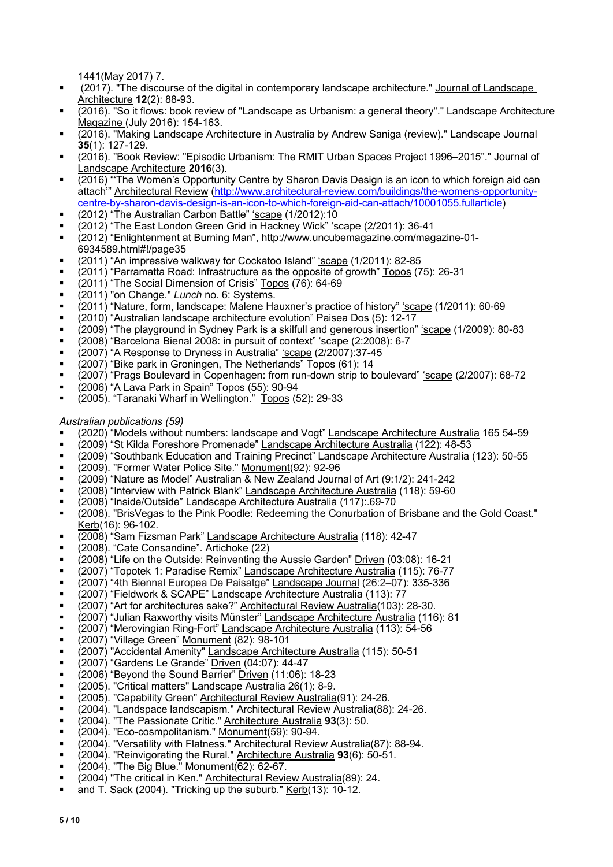1441(May 2017) 7.

- § (2017). "The discourse of the digital in contemporary landscape architecture." Journal of Landscape Architecture **12**(2): 88-93.
- § (2016). "So it flows: book review of "Landscape as Urbanism: a general theory"." Landscape Architecture Magazine (July 2016): 154-163.
- (2016). "Making Landscape Architecture in Australia by Andrew Saniga (review)." Landscape Journal **35**(1): 127-129.
- § (2016). "Book Review: "Episodic Urbanism: The RMIT Urban Spaces Project 1996–2015"." Journal of Landscape Architecture **2016**(3).
- (2016) "The Women's Opportunity Centre by Sharon Davis Design is an icon to which foreign aid can attach'" Architectural Review (http://www.architectural-review.com/buildings/the-womens-opportunitycentre-by-sharon-davis-design-is-an-icon-to-which-foreign-aid-can-attach/10001055.fullarticle)
- (2012) "The Australian Carbon Battle" 'scape (1/2012):10
- (2012) "The East London Green Grid in Hackney Wick" 'scape (2/2011): 36-41
- § (2012) "Enlightenment at Burning Man", http://www.uncubemagazine.com/magazine-01- 6934589.html#!/page35
- (2011) "An impressive walkway for Cockatoo Island" 'scape (1/2011): 82-85
- (2011) "Parramatta Road: Infrastructure as the opposite of growth" Topos (75): 26-31
- (2011) "The Social Dimension of Crisis" Topos (76): 64-69
- § (2011) "on Change." *Lunch* no. 6: Systems.
- <sup>■</sup> (2011) "Nature, form, landscape: Malene Hauxner's practice of history" *'scape* (1/2011): 60-69
- § (2010) "Australian landscape architecture evolution" Paisea Dos (5): 12-17
- § (2009) "The playground in Sydney Park is a skilfull and generous insertion" 'scape (1/2009): 80-83
- (2008) "Barcelona Bienal 2008: in pursuit of context" 'scape (2:2008): 6-7
- (2007) "A Response to Dryness in Australia" 'scape (2/2007):37-45
- (2007) "Bike park in Groningen, The Netherlands" Topos (61): 14
- § (2007) "Prags Boulevard in Copenhagen: from run-down strip to boulevard" 'scape (2/2007): 68-72
- § (2006) "A Lava Park in Spain" Topos (55): 90-94
- (2005). "Taranaki Wharf in Wellington." Topos (52): 29-33

#### *Australian publications (59)*

- § (2020) "Models without numbers: landscape and Vogt" Landscape Architecture Australia 165 54-59
- § (2009) "St Kilda Foreshore Promenade" Landscape Architecture Australia (122): 48-53
- <sup>■</sup> (2009) "Southbank Education and Training Precinct" Landscape Architecture Australia (123): 50-55
- (2009). "Former Water Police Site." Monument(92): 92-96
- § (2009) "Nature as Model" Australian & New Zealand Journal of Art (9:1/2): 241-242
- § (2008) "Interview with Patrick Blank" Landscape Architecture Australia (118): 59-60
- § (2008) "Inside/Outside" Landscape Architecture Australia (117):.69-70
- § (2008). "BrisVegas to the Pink Poodle: Redeeming the Conurbation of Brisbane and the Gold Coast." Kerb(16): 96-102.
- <sup>■</sup> (2008) "Sam Fizsman Park" Landscape Architecture Australia (118): 42-47
- <sup>2</sup> (2008). "Cate Consandine". Artichoke (22)
- § (2008) "Life on the Outside: Reinventing the Aussie Garden" Driven (03:08): 16-21
- (2007) "Topotek 1: Paradise Remix" Landscape Architecture Australia (115): 76-77
- (2007) "4th Biennal Europea De Paisatge" Landscape Journal (26:2–07): 335-336
- <sup>a</sup> (2007) "Fieldwork & SCAPE" Landscape Architecture Australia (113): 77
- (2007) "Art for architectures sake?" Architectural Review Australia(103): 28-30.
- (2007) "Julian Raxworthy visits Münster" Landscape Architecture Australia (116): 81
- <sup>■</sup> (2007) "Merovingian Ring-Fort" Landscape Architecture Australia (113): 54-56
- $\bullet$  (2007) "Village Green" Monument (82): 98-101
- (2007) "Accidental Amenity" Landscape Architecture Australia (115): 50-51
- (2007) "Gardens Le Grande" Driven (04:07): 44-47
- <sup>■</sup> (2006) "Beyond the Sound Barrier" Driven (11:06): 18-23
- § (2005). "Critical matters" Landscape Australia 26(1): 8-9.
- § (2005). "Capability Green" Architectural Review Australia(91): 24-26.
- § (2004). "Landspace landscapism." Architectural Review Australia(88): 24-26.
- § (2004). "The Passionate Critic." Architecture Australia **93**(3): 50.
- § (2004). "Eco-cosmpolitanism." Monument(59): 90-94.
- § (2004). "Versatility with Flatness." Architectural Review Australia(87): 88-94.
- § (2004). "Reinvigorating the Rural." Architecture Australia **93**(6): 50-51.
- § (2004). "The Big Blue." Monument(62): 62-67.
- § (2004) "The critical in Ken." Architectural Review Australia(89): 24.
- and T. Sack (2004). "Tricking up the suburb." Kerb(13): 10-12.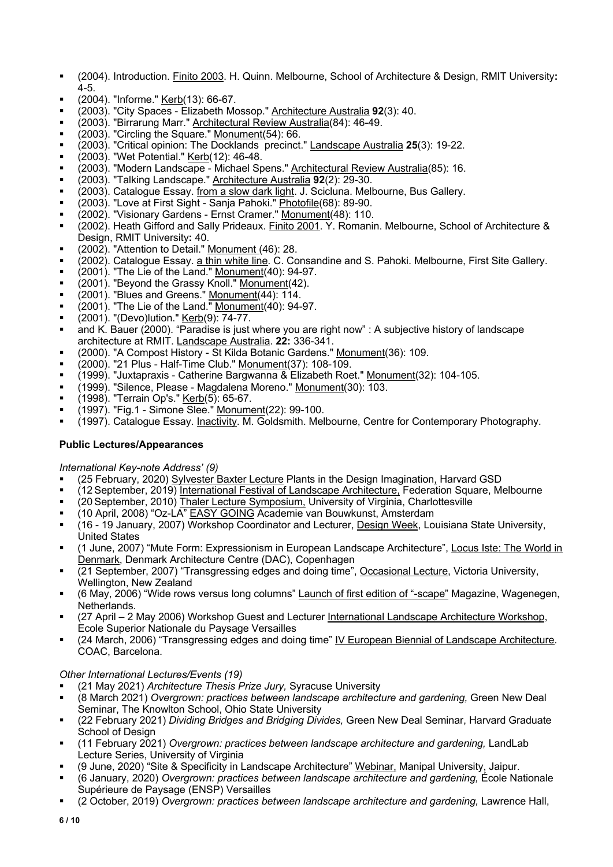- § (2004). Introduction. Finito 2003. H. Quinn. Melbourne, School of Architecture & Design, RMIT University**:**   $4 - 5$ .
- § (2004). "Informe." Kerb(13): 66-67.
- § (2003). "City Spaces Elizabeth Mossop." Architecture Australia **92**(3): 40.
- § (2003). "Birrarung Marr." Architectural Review Australia(84): 46-49.
- $(2003)$ . "Circling the Square." Monument(54): 66.
- § (2003). "Critical opinion: The Docklands precinct." Landscape Australia **25**(3): 19-22.
- § (2003). "Wet Potential." Kerb(12): 46-48.
- <sup>■</sup> (2003). "Modern Landscape Michael Spens." Architectural Review Australia(85): 16.
- § (2003). "Talking Landscape." Architecture Australia **92**(2): 29-30.
- <sup>■</sup> (2003). Catalogue Essay. from a slow dark light. J. Scicluna. Melbourne, Bus Gallery.
- <sup>■</sup> (2003). "Love at First Sight Sanja Pahoki." Photofile(68): 89-90.
- <sup>■</sup> (2002). "Visionary Gardens Ernst Cramer." Monument(48): 110.
- § (2002). Heath Gifford and Sally Prideaux. Finito 2001. Y. Romanin. Melbourne, School of Architecture & Design, RMIT University**:** 40.
- § (2002). "Attention to Detail." Monument (46): 28.
- (2002). Catalogue Essay. a thin white line. C. Consandine and S. Pahoki. Melbourne, First Site Gallery.
- **•** (2001). "The Lie of the Land." **Monument**(40): 94-97.
- (2001). "Beyond the Grassy Knoll." Monument(42).
- (2001). "Blues and Greens." Monument(44): 114.
- <sup>■</sup> (2001). "The Lie of the Land." Monument(40): 94-97.
- (2001). "(Devo)lution." <u>Kerb(</u>9): 74-77.
- and K. Bauer (2000). "Paradise is just where you are right now" : A subjective history of landscape architecture at RMIT. Landscape Australia. **22:** 336-341.
- <sup>■</sup> (2000). "A Compost History St Kilda Botanic Gardens." Monument(36): 109.
- $\bullet$  (2000). "21 Plus Half-Time Club." Monument(37): 108-109.
- § (1999). "Juxtapraxis Catherine Bargwanna & Elizabeth Roet." Monument(32): 104-105.
- § (1999). "Silence, Please Magdalena Moreno." Monument(30): 103.
- **•** (1998). "Terrain Op's." Kerb(5): 65-67.
- **•**  $(1997)$ . "Fig.1 Simone Slee." Monument(22): 99-100.
- (1997). Catalogue Essay. Inactivity. M. Goldsmith. Melbourne, Centre for Contemporary Photography.

### **Public Lectures/Appearances**

#### *International Key-note Address' (9)*

- § (25 February, 2020) Sylvester Baxter Lecture Plants in the Design Imagination, Harvard GSD
- (12 September, 2019) International Festival of Landscape Architecture, Federation Square, Melbourne
- § (20 September, 2010) Thaler Lecture Symposium, University of Virginia, Charlottesville
- § (10 April, 2008) "Oz-LA" EASY GOING Academie van Bouwkunst, Amsterdam
- (16 19 January, 2007) Workshop Coordinator and Lecturer, Design Week, Louisiana State University, United States
- § (1 June, 2007) "Mute Form: Expressionism in European Landscape Architecture", Locus Iste: The World in Denmark, Denmark Architecture Centre (DAC), Copenhagen
- § (21 September, 2007) "Transgressing edges and doing time", Occasional Lecture, Victoria University, Wellington, New Zealand
- (6 May, 2006) "Wide rows versus long columns" Launch of first edition of "-scape" Magazine, Wagenegen, Netherlands.
- (27 April 2 May 2006) Workshop Guest and Lecturer International Landscape Architecture Workshop, Ecole Superior Nationale du Paysage Versailles
- (24 March, 2006) "Transgressing edges and doing time" IV European Biennial of Landscape Architecture. COAC, Barcelona.

#### *Other International Lectures/Events (19)*

- § (21 May 2021) *Architecture Thesis Prize Jury,* Syracuse University
- § (8 March 2021) *Overgrown: practices between landscape architecture and gardening,* Green New Deal Seminar, The Knowlton School, Ohio State University
- § (22 February 2021) *Dividing Bridges and Bridging Divides,* Green New Deal Seminar, Harvard Graduate School of Design
- <sup>■</sup> (11 February 2021) *Overgrown: practices between landscape architecture and gardening, LandLab* Lecture Series, University of Virginia
- <sup>■</sup> (9 June, 2020) "Site & Specificity in Landscape Architecture" Webinar, Manipal University, Jaipur.
- § (6 January, 2020) *Overgrown: practices between landscape architecture and gardening,* École Nationale Supérieure de Paysage (ENSP) Versailles
- § (2 October, 2019) *Overgrown: practices between landscape architecture and gardening,* Lawrence Hall,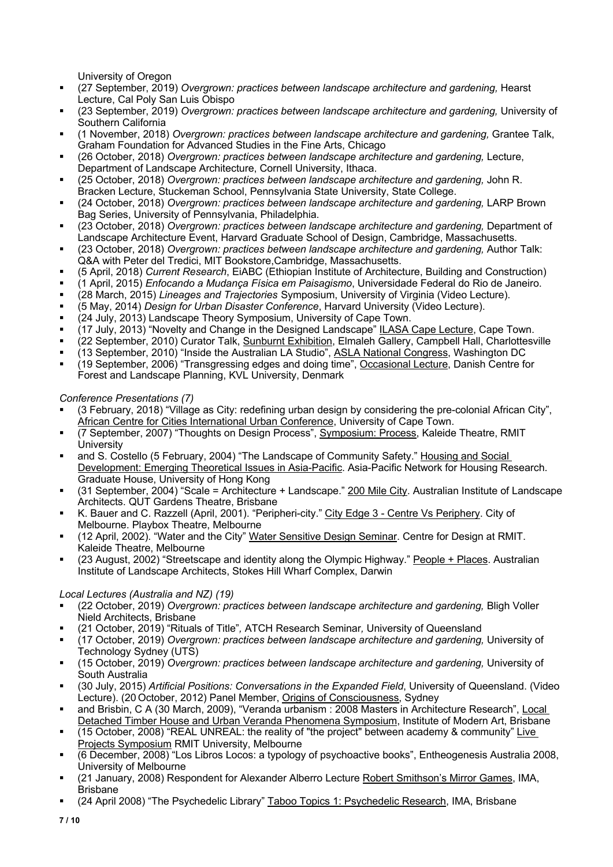University of Oregon

- (27 September, 2019) *Overgrown: practices between landscape architecture and gardening.* Hearst Lecture, Cal Poly San Luis Obispo
- § (23 September, 2019) *Overgrown: practices between landscape architecture and gardening,* University of Southern California
- § (1 November, 2018) *Overgrown: practices between landscape architecture and gardening,* Grantee Talk, Graham Foundation for Advanced Studies in the Fine Arts, Chicago
- § (26 October, 2018) *Overgrown: practices between landscape architecture and gardening,* Lecture, Department of Landscape Architecture, Cornell University, Ithaca.
- § (25 October, 2018) *Overgrown: practices between landscape architecture and gardening,* John R. Bracken Lecture, Stuckeman School, Pennsylvania State University, State College.
- § (24 October, 2018) *Overgrown: practices between landscape architecture and gardening,* LARP Brown Bag Series, University of Pennsylvania, Philadelphia.
- § (23 October, 2018) *Overgrown: practices between landscape architecture and gardening,* Department of Landscape Architecture Event, Harvard Graduate School of Design, Cambridge, Massachusetts.
- § (23 October, 2018) *Overgrown: practices between landscape architecture and gardening,* Author Talk: Q&A with Peter del Tredici, MIT Bookstore,Cambridge, Massachusetts.
- § (5 April, 2018) *Current Research*, EiABC (Ethiopian Institute of Architecture, Building and Construction)
- § (1 April, 2015) *Enfocando a Mudança Física em Paisagismo*, Universidade Federal do Rio de Janeiro.
- § (28 March, 2015) *Lineages and Trajectories* Symposium, University of Virginia (Video Lecture).
- § (5 May, 2014) *Design for Urban Disaster Conference*, Harvard University (Video Lecture).
- (24 July, 2013) Landscape Theory Symposium, University of Cape Town.
- (17 July, 2013) "Novelty and Change in the Designed Landscape" ILASA Cape Lecture, Cape Town.
- (22 September, 2010) Curator Talk, Sunburnt Exhibition, Elmaleh Gallery, Campbell Hall, Charlottesville
- <sup>■</sup> (13 September, 2010) "Inside the Australian LA Studio", ASLA National Congress, Washington DC
- (19 September, 2006) "Transgressing edges and doing time", Occasional Lecture, Danish Centre for Forest and Landscape Planning, KVL University, Denmark

*Conference Presentations (7)*

- § (3 February, 2018) "Village as City: redefining urban design by considering the pre-colonial African City", African Centre for Cities International Urban Conference, University of Cape Town.
- § (7 September, 2007) "Thoughts on Design Process", Symposium: Process, Kaleide Theatre, RMIT **University**
- and S. Costello (5 February, 2004) "The Landscape of Community Safety." Housing and Social Development: Emerging Theoretical Issues in Asia-Pacific. Asia-Pacific Network for Housing Research. Graduate House, University of Hong Kong
- § (31 September, 2004) "Scale = Architecture + Landscape." 200 Mile City. Australian Institute of Landscape Architects. QUT Gardens Theatre, Brisbane
- § K. Bauer and C. Razzell (April, 2001). "Peripheri-city." City Edge 3 Centre Vs Periphery. City of Melbourne. Playbox Theatre, Melbourne
- (12 April, 2002). "Water and the City" Water Sensitive Design Seminar. Centre for Design at RMIT. Kaleide Theatre, Melbourne
- (23 August, 2002) "Streetscape and identity along the Olympic Highway." People + Places. Australian Institute of Landscape Architects, Stokes Hill Wharf Complex, Darwin

#### *Local Lectures (Australia and NZ) (19)*

- § (22 October, 2019) *Overgrown: practices between landscape architecture and gardening,* Bligh Voller Nield Architects, Brisbane
- § (21 October, 2019) "Rituals of Title"*,* ATCH Research Seminar*,* University of Queensland
- § (17 October, 2019) *Overgrown: practices between landscape architecture and gardening,* University of Technology Sydney (UTS)
- § (15 October, 2019) *Overgrown: practices between landscape architecture and gardening,* University of South Australia
- § (30 July, 2015) *Artificial Positions: Conversations in the Expanded Field*, University of Queensland. (Video Lecture). (20 October, 2012) Panel Member, Origins of Consciousness, Sydney
- and Brisbin, C A (30 March, 2009), "Veranda urbanism : 2008 Masters in Architecture Research", Local Detached Timber House and Urban Veranda Phenomena Symposium, Institute of Modern Art, Brisbane
- § (15 October, 2008) "REAL UNREAL: the reality of "the project" between academy & community" Live Projects Symposium RMIT University, Melbourne
- § (6 December, 2008) "Los Libros Locos: a typology of psychoactive books", Entheogenesis Australia 2008, University of Melbourne
- § (21 January, 2008) Respondent for Alexander Alberro Lecture Robert Smithson's Mirror Games, IMA, Brisbane
- § (24 April 2008) "The Psychedelic Library" Taboo Topics 1: Psychedelic Research, IMA, Brisbane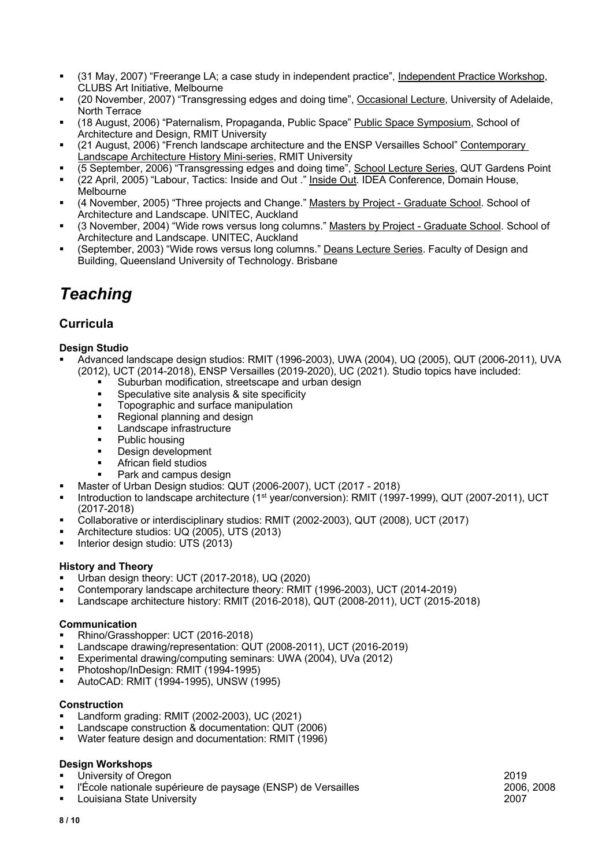- § (31 May, 2007) "Freerange LA; a case study in independent practice", Independent Practice Workshop, CLUBS Art Initiative, Melbourne
- (20 November, 2007) "Transgressing edges and doing time", Occasional Lecture, University of Adelaide, North Terrace
- (18 August, 2006) "Paternalism, Propaganda, Public Space" Public Space Symposium, School of Architecture and Design, RMIT University
- (21 August, 2006) "French landscape architecture and the ENSP Versailles School" Contemporary Landscape Architecture History Mini-series, RMIT University
- § (5 September, 2006) "Transgressing edges and doing time", School Lecture Series, QUT Gardens Point
- <sup>■</sup> (22 April, 2005) "Labour, Tactics: Inside and Out ." Inside Out. IDEA Conference, Domain House, **Melbourne**
- <sup>■</sup> (4 November, 2005) "Three projects and Change." Masters by Project Graduate School. School of Architecture and Landscape. UNITEC, Auckland
- § (3 November, 2004) "Wide rows versus long columns." Masters by Project Graduate School. School of Architecture and Landscape. UNITEC, Auckland
- § (September, 2003) "Wide rows versus long columns." Deans Lecture Series. Faculty of Design and Building, Queensland University of Technology. Brisbane

## *Teaching*

## **Curricula**

#### **Design Studio**

- § Advanced landscape design studios: RMIT (1996-2003), UWA (2004), UQ (2005), QUT (2006-2011), UVA (2012), UCT (2014-2018), ENSP Versailles (2019-2020), UC (2021). Studio topics have included:
	- § Suburban modification, streetscape and urban design
	- Speculative site analysis & site specificity
	- Topographic and surface manipulation
	- Regional planning and design
	- **■** Landscape infrastructure
	- Public housing
	- Design development
	- § African field studios
	- Park and campus design
	- § Master of Urban Design studios: QUT (2006-2007), UCT (2017 2018)
- Introduction to landscape architecture (1<sup>st</sup> year/conversion): RMIT (1997-1999), QUT (2007-2011), UCT (2017-2018)
- § Collaborative or interdisciplinary studios: RMIT (2002-2003), QUT (2008), UCT (2017)
- § Architecture studios: UQ (2005), UTS (2013)
- § Interior design studio: UTS (2013)

#### **History and Theory**

- § Urban design theory: UCT (2017-2018), UQ (2020)
- § Contemporary landscape architecture theory: RMIT (1996-2003), UCT (2014-2019)
- § Landscape architecture history: RMIT (2016-2018), QUT (2008-2011), UCT (2015-2018)

#### **Communication**

- § Rhino/Grasshopper: UCT (2016-2018)
- § Landscape drawing/representation: QUT (2008-2011), UCT (2016-2019)
- Experimental drawing/computing seminars: UWA (2004), UVa (2012)
- § Photoshop/InDesign: RMIT (1994-1995)
- § AutoCAD: RMIT (1994-1995), UNSW (1995)

#### **Construction**

- § Landform grading: RMIT (2002-2003), UC (2021)
- § Landscape construction & documentation: QUT (2006)
- § Water feature design and documentation: RMIT (1996)

#### **Design Workshops**

- § University of Oregon 2019
- § l'École nationale supérieure de paysage (ENSP) de Versailles 2006, 2008
- Louisiana State University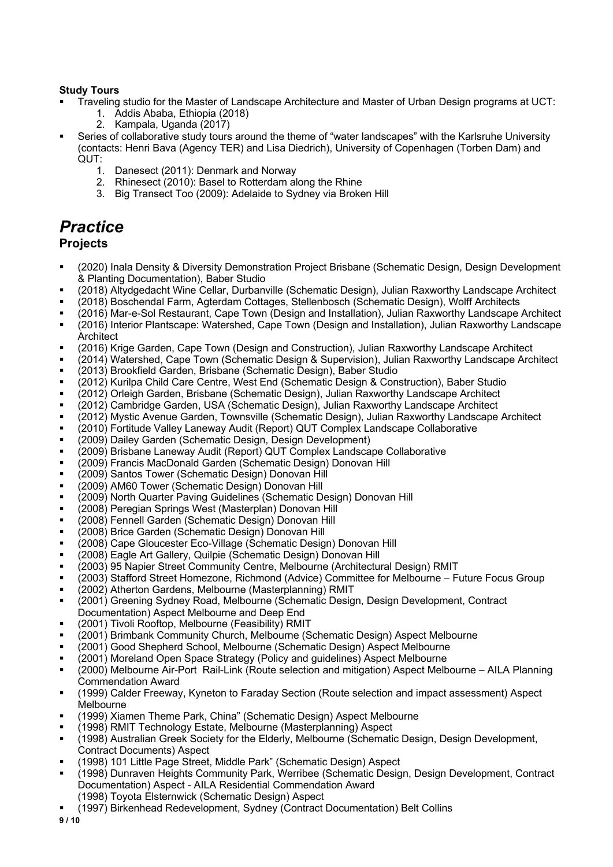#### **Study Tours**

- § Traveling studio for the Master of Landscape Architecture and Master of Urban Design programs at UCT:
	- 1. Addis Ababa, Ethiopia (2018)
	- 2. Kampala, Uganda (2017)
- Series of collaborative study tours around the theme of "water landscapes" with the Karlsruhe University (contacts: Henri Bava (Agency TER) and Lisa Diedrich), University of Copenhagen (Torben Dam) and QUT:
	- 1. Danesect (2011): Denmark and Norway
	- 2. Rhinesect (2010): Basel to Rotterdam along the Rhine
	- 3. Big Transect Too (2009): Adelaide to Sydney via Broken Hill

## *Practice*

## **Projects**

- § (2020) Inala Density & Diversity Demonstration Project Brisbane (Schematic Design, Design Development & Planting Documentation), Baber Studio
- § (2018) Altydgedacht Wine Cellar, Durbanville (Schematic Design), Julian Raxworthy Landscape Architect
- (2018) Boschendal Farm, Agterdam Cottages, Stellenbosch (Schematic Design), Wolff Architects
- § (2016) Mar-e-Sol Restaurant, Cape Town (Design and Installation), Julian Raxworthy Landscape Architect
- § (2016) Interior Plantscape: Watershed, Cape Town (Design and Installation), Julian Raxworthy Landscape **Architect**
- § (2016) Krige Garden, Cape Town (Design and Construction), Julian Raxworthy Landscape Architect
- (2014) Watershed, Cape Town (Schematic Design & Supervision), Julian Raxworthy Landscape Architect
- § (2013) Brookfield Garden, Brisbane (Schematic Design), Baber Studio
- (2012) Kurilpa Child Care Centre, West End (Schematic Design & Construction), Baber Studio
- § (2012) Orleigh Garden, Brisbane (Schematic Design), Julian Raxworthy Landscape Architect
- (2012) Cambridge Garden, USA (Schematic Design), Julian Raxworthy Landscape Architect
- (2012) Mystic Avenue Garden, Townsville (Schematic Design), Julian Raxworthy Landscape Architect
- § (2010) Fortitude Valley Laneway Audit (Report) QUT Complex Landscape Collaborative
- § (2009) Dailey Garden (Schematic Design, Design Development)
- § (2009) Brisbane Laneway Audit (Report) QUT Complex Landscape Collaborative
- § (2009) Francis MacDonald Garden (Schematic Design) Donovan Hill
- § (2009) Santos Tower (Schematic Design) Donovan Hill
- § (2009) AM60 Tower (Schematic Design) Donovan Hill
- § (2009) North Quarter Paving Guidelines (Schematic Design) Donovan Hill
- § (2008) Peregian Springs West (Masterplan) Donovan Hill
- § (2008) Fennell Garden (Schematic Design) Donovan Hill
- § (2008) Brice Garden (Schematic Design) Donovan Hill
- § (2008) Cape Gloucester Eco-Village (Schematic Design) Donovan Hill
- (2008) Eagle Art Gallery, Quilpie (Schematic Design) Donovan Hill
- § (2003) 95 Napier Street Community Centre, Melbourne (Architectural Design) RMIT
- § (2003) Stafford Street Homezone, Richmond (Advice) Committee for Melbourne Future Focus Group
- (2002) Atherton Gardens, Melbourne (Masterplanning) RMIT
- § (2001) Greening Sydney Road, Melbourne (Schematic Design, Design Development, Contract Documentation) Aspect Melbourne and Deep End
- (2001) Tivoli Rooftop, Melbourne (Feasibility) RMIT
- § (2001) Brimbank Community Church, Melbourne (Schematic Design) Aspect Melbourne
- § (2001) Good Shepherd School, Melbourne (Schematic Design) Aspect Melbourne
- § (2001) Moreland Open Space Strategy (Policy and guidelines) Aspect Melbourne
- § (2000) Melbourne Air-Port Rail-Link (Route selection and mitigation) Aspect Melbourne AILA Planning Commendation Award
- (1999) Calder Freeway, Kyneton to Faraday Section (Route selection and impact assessment) Aspect Melbourne
- § (1999) Xiamen Theme Park, China" (Schematic Design) Aspect Melbourne
- § (1998) RMIT Technology Estate, Melbourne (Masterplanning) Aspect
- § (1998) Australian Greek Society for the Elderly, Melbourne (Schematic Design, Design Development, Contract Documents) Aspect
- (1998) 101 Little Page Street, Middle Park" (Schematic Design) Aspect
- (1998) Dunraven Heights Community Park, Werribee (Schematic Design, Design Development, Contract Documentation) Aspect - AILA Residential Commendation Award
	- (1998) Toyota Elsternwick (Schematic Design) Aspect
- § (1997) Birkenhead Redevelopment, Sydney (Contract Documentation) Belt Collins